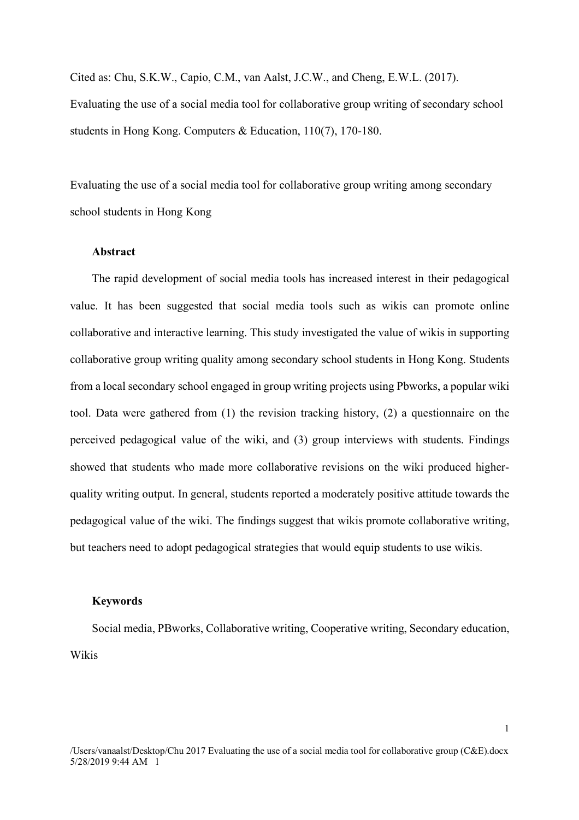Cited as: Chu, S.K.W., Capio, C.M., van Aalst, J.C.W., and Cheng, E.W.L. (2017). Evaluating the use of a social media tool for collaborative group writing of secondary school students in Hong Kong. Computers & Education, 110(7), 170-180.

Evaluating the use of a social media tool for collaborative group writing among secondary school students in Hong Kong

# **Abstract**

The rapid development of social media tools has increased interest in their pedagogical value. It has been suggested that social media tools such as wikis can promote online collaborative and interactive learning. This study investigated the value of wikis in supporting collaborative group writing quality among secondary school students in Hong Kong. Students from a local secondary school engaged in group writing projects using Pbworks, a popular wiki tool. Data were gathered from (1) the revision tracking history, (2) a questionnaire on the perceived pedagogical value of the wiki, and (3) group interviews with students. Findings showed that students who made more collaborative revisions on the wiki produced higherquality writing output. In general, students reported a moderately positive attitude towards the pedagogical value of the wiki. The findings suggest that wikis promote collaborative writing, but teachers need to adopt pedagogical strategies that would equip students to use wikis.

#### **Keywords**

Social media, PBworks, Collaborative writing, Cooperative writing, Secondary education, Wikis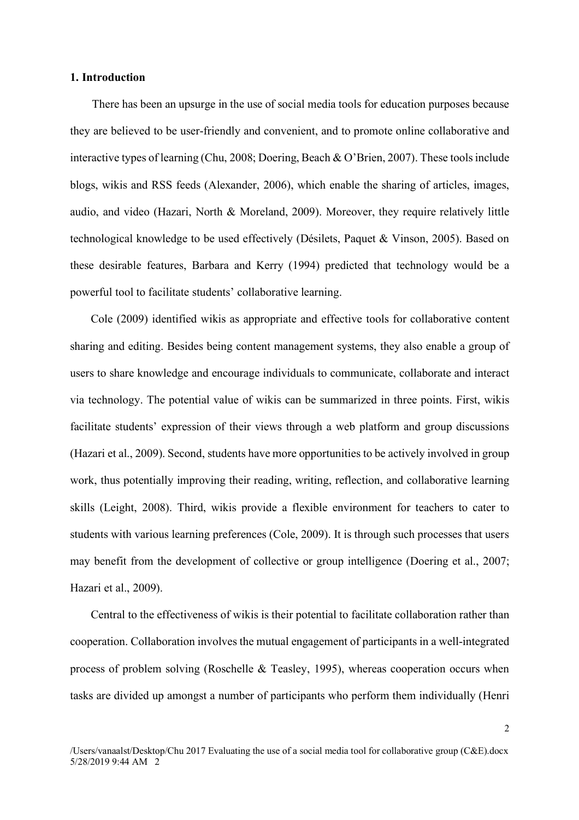## **1. Introduction**

There has been an upsurge in the use of social media tools for education purposes because they are believed to be user-friendly and convenient, and to promote online collaborative and interactive types of learning (Chu, 2008; Doering, Beach & O'Brien, 2007). These tools include blogs, wikis and RSS feeds (Alexander, 2006), which enable the sharing of articles, images, audio, and video (Hazari, North & Moreland, 2009). Moreover, they require relatively little technological knowledge to be used effectively (Désilets, Paquet & Vinson, 2005). Based on these desirable features, Barbara and Kerry (1994) predicted that technology would be a powerful tool to facilitate students' collaborative learning.

Cole (2009) identified wikis as appropriate and effective tools for collaborative content sharing and editing. Besides being content management systems, they also enable a group of users to share knowledge and encourage individuals to communicate, collaborate and interact via technology. The potential value of wikis can be summarized in three points. First, wikis facilitate students' expression of their views through a web platform and group discussions (Hazari et al., 2009). Second, students have more opportunities to be actively involved in group work, thus potentially improving their reading, writing, reflection, and collaborative learning skills (Leight, 2008). Third, wikis provide a flexible environment for teachers to cater to students with various learning preferences (Cole, 2009). It is through such processes that users may benefit from the development of collective or group intelligence (Doering et al., 2007; Hazari et al., 2009).

Central to the effectiveness of wikis is their potential to facilitate collaboration rather than cooperation. Collaboration involves the mutual engagement of participants in a well-integrated process of problem solving (Roschelle & Teasley, 1995), whereas cooperation occurs when tasks are divided up amongst a number of participants who perform them individually (Henri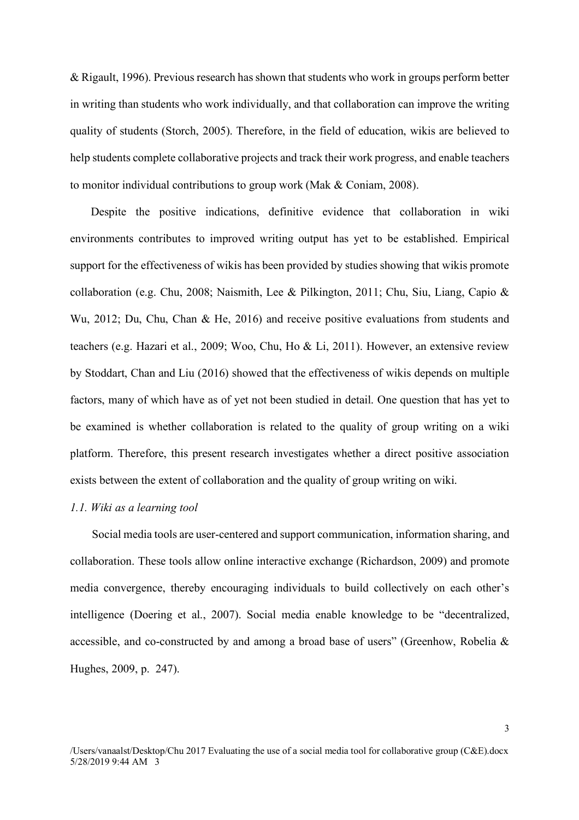& Rigault, 1996). Previous research has shown that students who work in groups perform better in writing than students who work individually, and that collaboration can improve the writing quality of students (Storch, 2005). Therefore, in the field of education, wikis are believed to help students complete collaborative projects and track their work progress, and enable teachers to monitor individual contributions to group work (Mak & Coniam, 2008).

Despite the positive indications, definitive evidence that collaboration in wiki environments contributes to improved writing output has yet to be established. Empirical support for the effectiveness of wikis has been provided by studies showing that wikis promote collaboration (e.g. Chu, 2008; Naismith, Lee & Pilkington, 2011; Chu, Siu, Liang, Capio & Wu, 2012; Du, Chu, Chan & He, 2016) and receive positive evaluations from students and teachers (e.g. Hazari et al., 2009; Woo, Chu, Ho & Li, 2011). However, an extensive review by Stoddart, Chan and Liu (2016) showed that the effectiveness of wikis depends on multiple factors, many of which have as of yet not been studied in detail. One question that has yet to be examined is whether collaboration is related to the quality of group writing on a wiki platform. Therefore, this present research investigates whether a direct positive association exists between the extent of collaboration and the quality of group writing on wiki.

# *1.1. Wiki as a learning tool*

Social media tools are user-centered and support communication, information sharing, and collaboration. These tools allow online interactive exchange (Richardson, 2009) and promote media convergence, thereby encouraging individuals to build collectively on each other's intelligence (Doering et al., 2007). Social media enable knowledge to be "decentralized, accessible, and co-constructed by and among a broad base of users" (Greenhow, Robelia & Hughes, 2009, p. 247).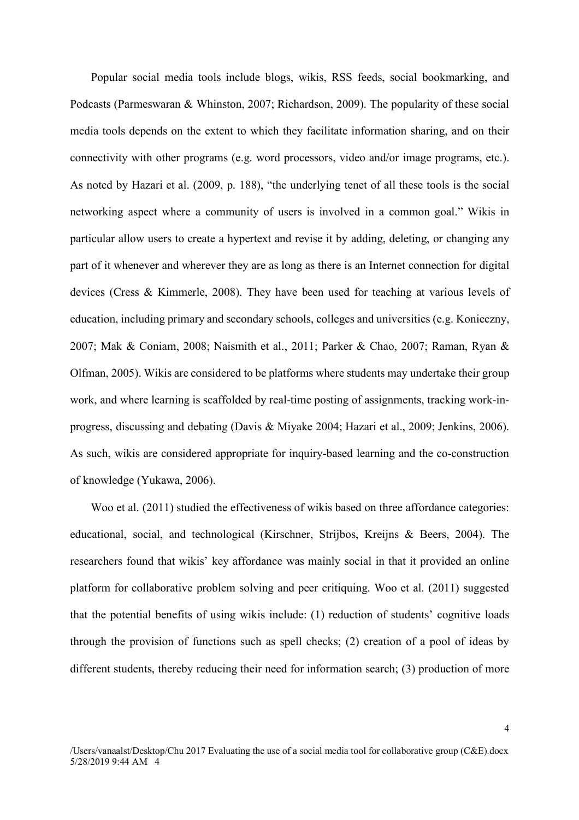Popular social media tools include blogs, wikis, RSS feeds, social bookmarking, and Podcasts (Parmeswaran & Whinston, 2007; Richardson, 2009). The popularity of these social media tools depends on the extent to which they facilitate information sharing, and on their connectivity with other programs (e.g. word processors, video and/or image programs, etc.). As noted by Hazari et al. (2009, p. 188), "the underlying tenet of all these tools is the social networking aspect where a community of users is involved in a common goal." Wikis in particular allow users to create a hypertext and revise it by adding, deleting, or changing any part of it whenever and wherever they are as long as there is an Internet connection for digital devices (Cress & Kimmerle, 2008). They have been used for teaching at various levels of education, including primary and secondary schools, colleges and universities (e.g. Konieczny, 2007; Mak & Coniam, 2008; Naismith et al., 2011; Parker & Chao, 2007; Raman, Ryan & Olfman, 2005). Wikis are considered to be platforms where students may undertake their group work, and where learning is scaffolded by real-time posting of assignments, tracking work-inprogress, discussing and debating (Davis & Miyake 2004; Hazari et al., 2009; Jenkins, 2006). As such, wikis are considered appropriate for inquiry-based learning and the co-construction of knowledge (Yukawa, 2006).

Woo et al. (2011) studied the effectiveness of wikis based on three affordance categories: educational, social, and technological (Kirschner, Strijbos, Kreijns & Beers, 2004). The researchers found that wikis' key affordance was mainly social in that it provided an online platform for collaborative problem solving and peer critiquing. Woo et al. (2011) suggested that the potential benefits of using wikis include: (1) reduction of students' cognitive loads through the provision of functions such as spell checks; (2) creation of a pool of ideas by different students, thereby reducing their need for information search; (3) production of more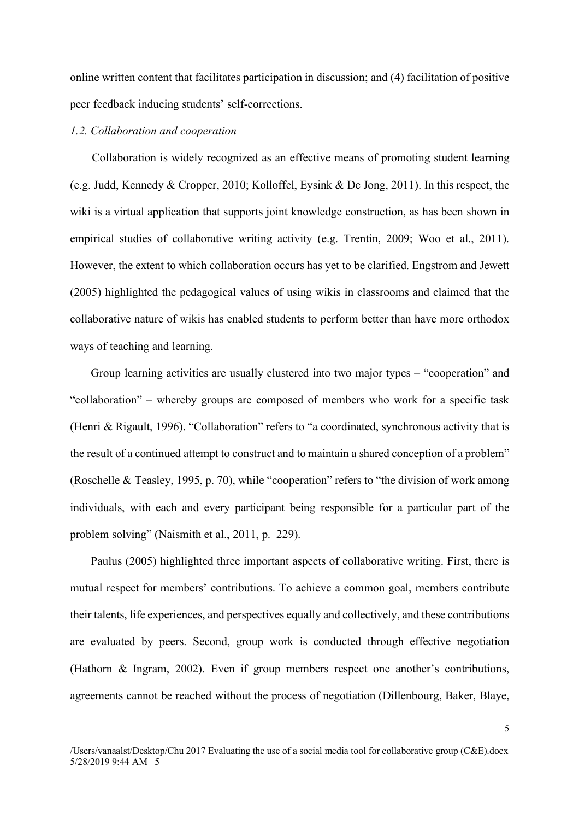online written content that facilitates participation in discussion; and (4) facilitation of positive peer feedback inducing students' self-corrections.

## *1.2. Collaboration and cooperation*

Collaboration is widely recognized as an effective means of promoting student learning (e.g. Judd, Kennedy & Cropper, 2010; Kolloffel, Eysink & De Jong, 2011). In this respect, the wiki is a virtual application that supports joint knowledge construction, as has been shown in empirical studies of collaborative writing activity (e.g. Trentin, 2009; Woo et al., 2011). However, the extent to which collaboration occurs has yet to be clarified. Engstrom and Jewett (2005) highlighted the pedagogical values of using wikis in classrooms and claimed that the collaborative nature of wikis has enabled students to perform better than have more orthodox ways of teaching and learning.

Group learning activities are usually clustered into two major types – "cooperation" and "collaboration" – whereby groups are composed of members who work for a specific task (Henri & Rigault, 1996). "Collaboration" refers to "a coordinated, synchronous activity that is the result of a continued attempt to construct and to maintain a shared conception of a problem" (Roschelle & Teasley, 1995, p. 70), while "cooperation" refers to "the division of work among individuals, with each and every participant being responsible for a particular part of the problem solving" (Naismith et al., 2011, p. 229).

Paulus (2005) highlighted three important aspects of collaborative writing. First, there is mutual respect for members' contributions. To achieve a common goal, members contribute their talents, life experiences, and perspectives equally and collectively, and these contributions are evaluated by peers. Second, group work is conducted through effective negotiation (Hathorn & Ingram, 2002). Even if group members respect one another's contributions, agreements cannot be reached without the process of negotiation (Dillenbourg, Baker, Blaye,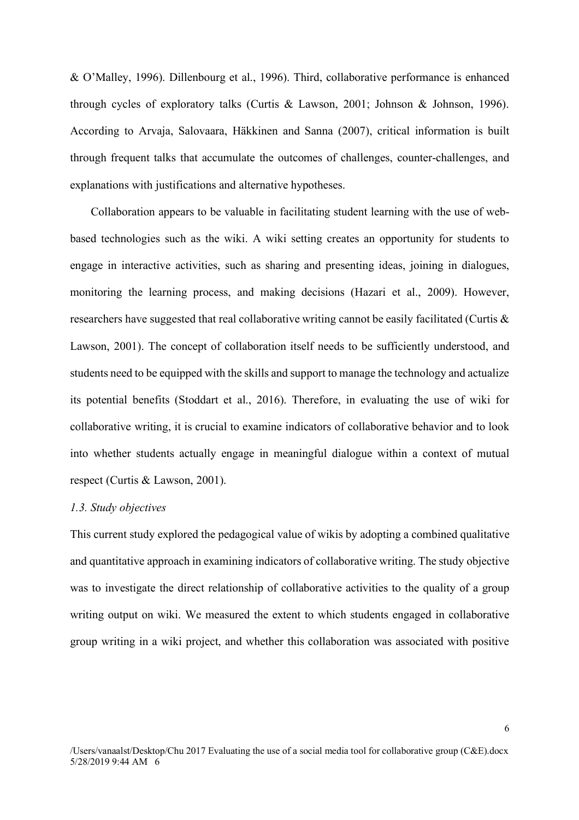& O'Malley, 1996). Dillenbourg et al., 1996). Third, collaborative performance is enhanced through cycles of exploratory talks (Curtis & Lawson, 2001; Johnson & Johnson, 1996). According to Arvaja, Salovaara, Häkkinen and Sanna (2007), critical information is built through frequent talks that accumulate the outcomes of challenges, counter-challenges, and explanations with justifications and alternative hypotheses.

Collaboration appears to be valuable in facilitating student learning with the use of webbased technologies such as the wiki. A wiki setting creates an opportunity for students to engage in interactive activities, such as sharing and presenting ideas, joining in dialogues, monitoring the learning process, and making decisions (Hazari et al., 2009). However, researchers have suggested that real collaborative writing cannot be easily facilitated (Curtis & Lawson, 2001). The concept of collaboration itself needs to be sufficiently understood, and students need to be equipped with the skills and support to manage the technology and actualize its potential benefits (Stoddart et al., 2016). Therefore, in evaluating the use of wiki for collaborative writing, it is crucial to examine indicators of collaborative behavior and to look into whether students actually engage in meaningful dialogue within a context of mutual respect (Curtis & Lawson, 2001).

## *1.3. Study objectives*

This current study explored the pedagogical value of wikis by adopting a combined qualitative and quantitative approach in examining indicators of collaborative writing. The study objective was to investigate the direct relationship of collaborative activities to the quality of a group writing output on wiki. We measured the extent to which students engaged in collaborative group writing in a wiki project, and whether this collaboration was associated with positive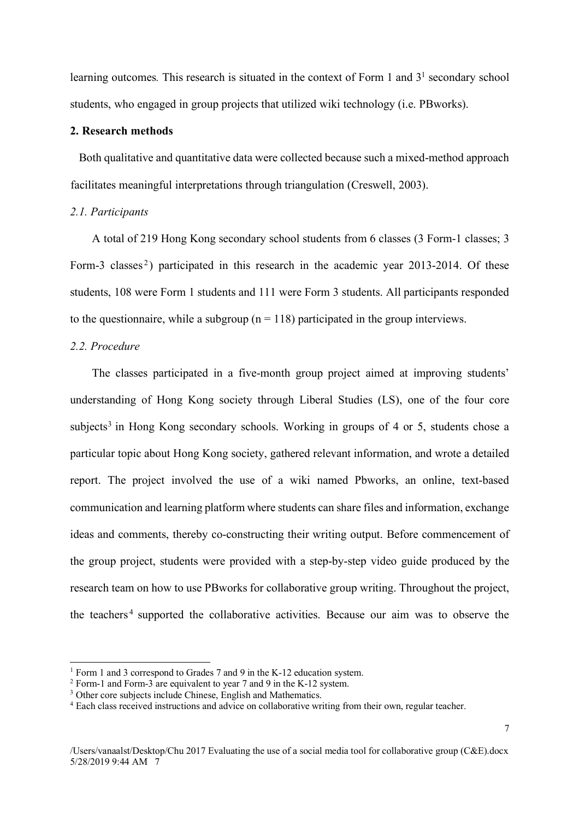learning outcomes. This research is situated in the context of Form 1 and 3<sup>1</sup> secondary school students, who engaged in group projects that utilized wiki technology (i.e. PBworks).

### **2. Research methods**

Both qualitative and quantitative data were collected because such a mixed-method approach facilitates meaningful interpretations through triangulation (Creswell, 2003).

## *2.1. Participants*

A total of 219 Hong Kong secondary school students from 6 classes (3 Form-1 classes; 3 Form-3 classes<sup>2</sup>) participated in this research in the academic year 2013-2014. Of these students, 108 were Form 1 students and 111 were Form 3 students. All participants responded to the questionnaire, while a subgroup  $(n = 118)$  participated in the group interviews.

# *2.2. Procedure*

The classes participated in a five-month group project aimed at improving students' understanding of Hong Kong society through Liberal Studies (LS), one of the four core subjects<sup>3</sup> in Hong Kong secondary schools. Working in groups of 4 or 5, students chose a particular topic about Hong Kong society, gathered relevant information, and wrote a detailed report. The project involved the use of a wiki named Pbworks, an online, text-based communication and learning platform where students can share files and information, exchange ideas and comments, thereby co-constructing their writing output. Before commencement of the group project, students were provided with a step-by-step video guide produced by the research team on how to use PBworks for collaborative group writing. Throughout the project, the teachers<sup>4</sup> supported the collaborative activities. Because our aim was to observe the

<sup>&</sup>lt;sup>1</sup> Form 1 and 3 correspond to Grades 7 and 9 in the K-12 education system.<br><sup>2</sup> Form-1 and Form-3 are equivalent to year 7 and 9 in the K-12 system.

<sup>&</sup>lt;sup>3</sup> Other core subjects include Chinese, English and Mathematics.

<sup>4</sup> Each class received instructions and advice on collaborative writing from their own, regular teacher.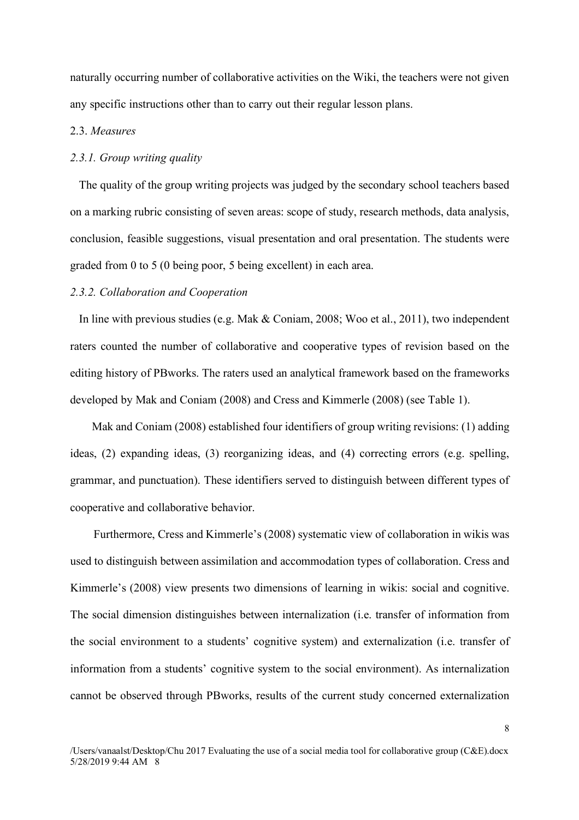naturally occurring number of collaborative activities on the Wiki, the teachers were not given any specific instructions other than to carry out their regular lesson plans.

## 2.3. *Measures*

## *2.3.1. Group writing quality*

The quality of the group writing projects was judged by the secondary school teachers based on a marking rubric consisting of seven areas: scope of study, research methods, data analysis, conclusion, feasible suggestions, visual presentation and oral presentation. The students were graded from 0 to 5 (0 being poor, 5 being excellent) in each area.

# *2.3.2. Collaboration and Cooperation*

In line with previous studies (e.g. Mak & Coniam, 2008; Woo et al., 2011), two independent raters counted the number of collaborative and cooperative types of revision based on the editing history of PBworks. The raters used an analytical framework based on the frameworks developed by Mak and Coniam (2008) and Cress and Kimmerle (2008) (see Table 1).

Mak and Coniam (2008) established four identifiers of group writing revisions: (1) adding ideas, (2) expanding ideas, (3) reorganizing ideas, and (4) correcting errors (e.g. spelling, grammar, and punctuation). These identifiers served to distinguish between different types of cooperative and collaborative behavior.

Furthermore, Cress and Kimmerle's (2008) systematic view of collaboration in wikis was used to distinguish between assimilation and accommodation types of collaboration. Cress and Kimmerle's (2008) view presents two dimensions of learning in wikis: social and cognitive. The social dimension distinguishes between internalization (i.e. transfer of information from the social environment to a students' cognitive system) and externalization (i.e. transfer of information from a students' cognitive system to the social environment). As internalization cannot be observed through PBworks, results of the current study concerned externalization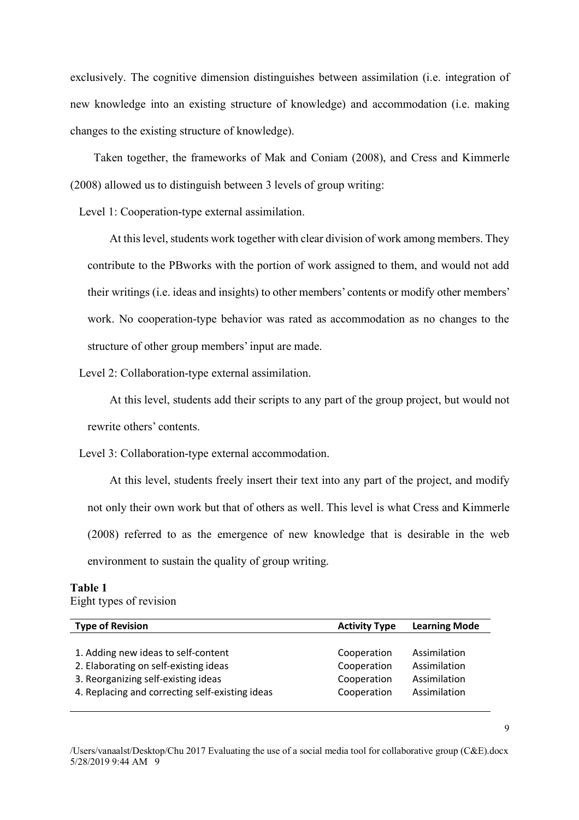exclusively. The cognitive dimension distinguishes between assimilation (i.e. integration of new knowledge into an existing structure of knowledge) and accommodation (i.e. making changes to the existing structure of knowledge).

Taken together, the frameworks of Mak and Coniam (2008), and Cress and Kimmerle (2008) allowed us to distinguish between 3 levels of group writing:

Level 1: Cooperation-type external assimilation.

At this level, students work together with clear division of work among members. They contribute to the PBworks with the portion of work assigned to them, and would not add their writings (i.e. ideas and insights) to other members' contents or modify other members' work. No cooperation-type behavior was rated as accommodation as no changes to the structure of other group members' input are made.

Level 2: Collaboration-type external assimilation.

At this level, students add their scripts to any part of the group project, but would not rewrite others' contents.

Level 3: Collaboration-type external accommodation.

At this level, students freely insert their text into any part of the project, and modify not only their own work but that of others as well. This level is what Cress and Kimmerle (2008) referred to as the emergence of new knowledge that is desirable in the web environment to sustain the quality of group writing.

#### **Table 1**  Eight types of revision

**Type of Revision Activity Type Learning Mode Activity Type Learning Mode** 1. Adding new ideas to self-content 2. Elaborating on self-existing ideas 3. Reorganizing self-existing ideas 4. Replacing and correcting self-existing ideas Cooperation Assimilation Assimilation Assimilation Assimilation Cooperation Cooperation Cooperation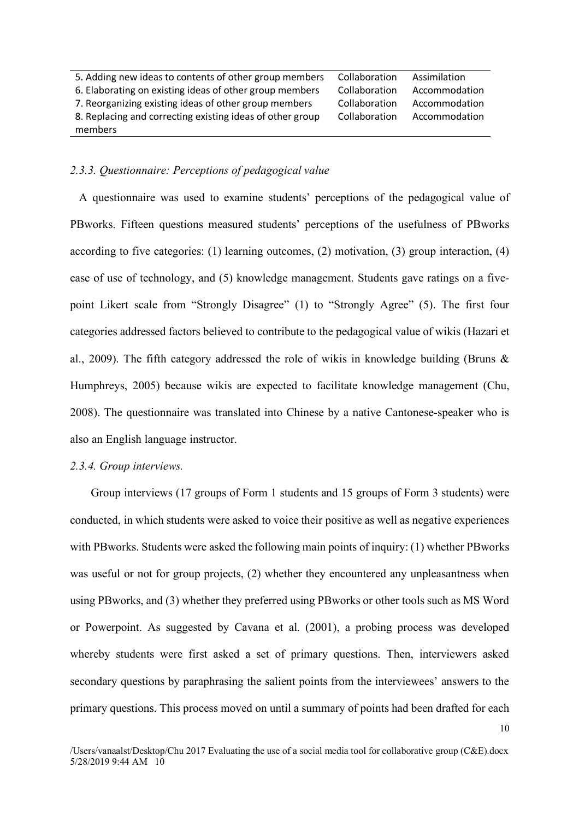| 5. Adding new ideas to contents of other group members    | Collaboration | Assimilation  |
|-----------------------------------------------------------|---------------|---------------|
| 6. Elaborating on existing ideas of other group members   | Collaboration | Accommodation |
| 7. Reorganizing existing ideas of other group members     | Collaboration | Accommodation |
| 8. Replacing and correcting existing ideas of other group | Collaboration | Accommodation |
| members                                                   |               |               |

### *2.3.3. Questionnaire: Perceptions of pedagogical value*

A questionnaire was used to examine students' perceptions of the pedagogical value of PBworks. Fifteen questions measured students' perceptions of the usefulness of PBworks according to five categories: (1) learning outcomes, (2) motivation, (3) group interaction, (4) ease of use of technology, and (5) knowledge management. Students gave ratings on a fivepoint Likert scale from "Strongly Disagree" (1) to "Strongly Agree" (5). The first four categories addressed factors believed to contribute to the pedagogical value of wikis (Hazari et al., 2009). The fifth category addressed the role of wikis in knowledge building (Bruns & Humphreys, 2005) because wikis are expected to facilitate knowledge management (Chu, 2008). The questionnaire was translated into Chinese by a native Cantonese-speaker who is also an English language instructor.

## *2.3.4. Group interviews.*

Group interviews (17 groups of Form 1 students and 15 groups of Form 3 students) were conducted, in which students were asked to voice their positive as well as negative experiences with PBworks. Students were asked the following main points of inquiry: (1) whether PBworks was useful or not for group projects, (2) whether they encountered any unpleasantness when using PBworks, and (3) whether they preferred using PBworks or other tools such as MS Word or Powerpoint. As suggested by Cavana et al. (2001), a probing process was developed whereby students were first asked a set of primary questions. Then, interviewers asked secondary questions by paraphrasing the salient points from the interviewees' answers to the primary questions. This process moved on until a summary of points had been drafted for each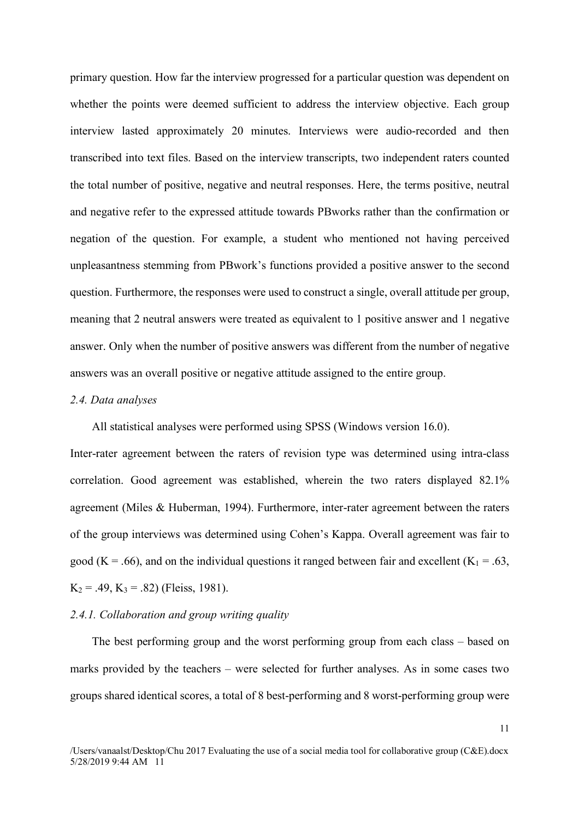primary question. How far the interview progressed for a particular question was dependent on whether the points were deemed sufficient to address the interview objective. Each group interview lasted approximately 20 minutes. Interviews were audio-recorded and then transcribed into text files. Based on the interview transcripts, two independent raters counted the total number of positive, negative and neutral responses. Here, the terms positive, neutral and negative refer to the expressed attitude towards PBworks rather than the confirmation or negation of the question. For example, a student who mentioned not having perceived unpleasantness stemming from PBwork's functions provided a positive answer to the second question. Furthermore, the responses were used to construct a single, overall attitude per group, meaning that 2 neutral answers were treated as equivalent to 1 positive answer and 1 negative answer. Only when the number of positive answers was different from the number of negative answers was an overall positive or negative attitude assigned to the entire group.

## *2.4. Data analyses*

All statistical analyses were performed using SPSS (Windows version 16.0).

Inter-rater agreement between the raters of revision type was determined using intra-class correlation. Good agreement was established, wherein the two raters displayed 82.1% agreement (Miles & Huberman, 1994). Furthermore, inter-rater agreement between the raters of the group interviews was determined using Cohen's Kappa. Overall agreement was fair to good (K = .66), and on the individual questions it ranged between fair and excellent (K<sub>1</sub> = .63,  $K_2$  = .49,  $K_3$  = .82) (Fleiss, 1981).

### *2.4.1. Collaboration and group writing quality*

The best performing group and the worst performing group from each class – based on marks provided by the teachers – were selected for further analyses. As in some cases two groups shared identical scores, a total of 8 best-performing and 8 worst-performing group were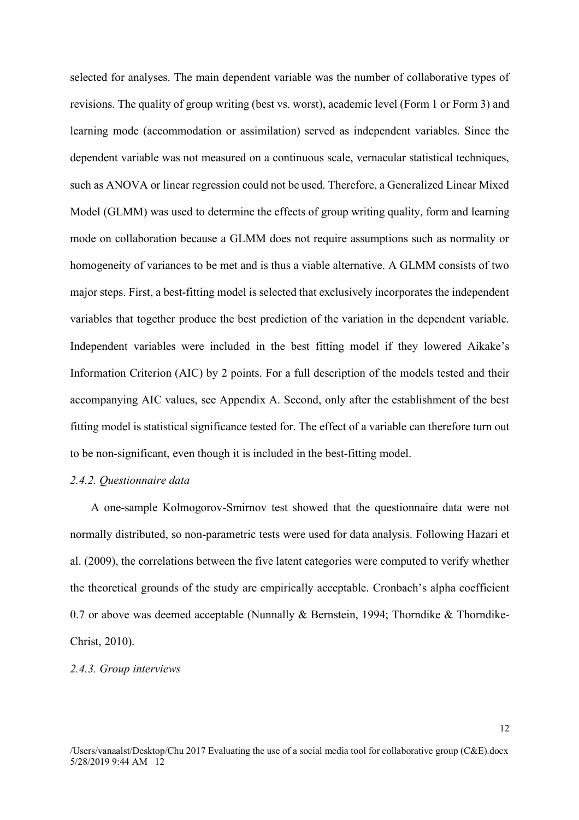selected for analyses. The main dependent variable was the number of collaborative types of revisions. The quality of group writing (best vs. worst), academic level (Form 1 or Form 3) and learning mode (accommodation or assimilation) served as independent variables. Since the dependent variable was not measured on a continuous scale, vernacular statistical techniques, such as ANOVA or linear regression could not be used. Therefore, a Generalized Linear Mixed Model (GLMM) was used to determine the effects of group writing quality, form and learning mode on collaboration because a GLMM does not require assumptions such as normality or homogeneity of variances to be met and is thus a viable alternative. A GLMM consists of two major steps. First, a best-fitting model is selected that exclusively incorporates the independent variables that together produce the best prediction of the variation in the dependent variable. Independent variables were included in the best fitting model if they lowered Aikake's Information Criterion (AIC) by 2 points. For a full description of the models tested and their accompanying AIC values, see Appendix A. Second, only after the establishment of the best fitting model is statistical significance tested for. The effect of a variable can therefore turn out to be non-significant, even though it is included in the best-fitting model.

#### *2.4.2. Questionnaire data*

A one-sample Kolmogorov-Smirnov test showed that the questionnaire data were not normally distributed, so non-parametric tests were used for data analysis. Following Hazari et al. (2009), the correlations between the five latent categories were computed to verify whether the theoretical grounds of the study are empirically acceptable. Cronbach's alpha coefficient 0.7 or above was deemed acceptable (Nunnally & Bernstein, 1994; Thorndike & Thorndike-Christ, 2010).

### *2.4.3. Group interviews*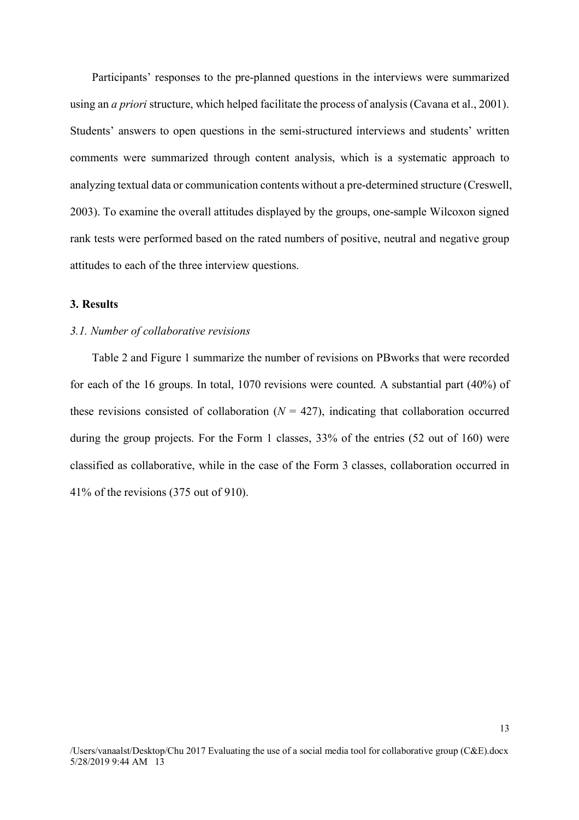Participants' responses to the pre-planned questions in the interviews were summarized using an *a priori* structure, which helped facilitate the process of analysis (Cavana et al., 2001). Students' answers to open questions in the semi-structured interviews and students' written comments were summarized through content analysis, which is a systematic approach to analyzing textual data or communication contents without a pre-determined structure (Creswell, 2003). To examine the overall attitudes displayed by the groups, one-sample Wilcoxon signed rank tests were performed based on the rated numbers of positive, neutral and negative group attitudes to each of the three interview questions.

## **3. Results**

#### *3.1. Number of collaborative revisions*

Table 2 and Figure 1 summarize the number of revisions on PBworks that were recorded for each of the 16 groups. In total, 1070 revisions were counted. A substantial part (40%) of these revisions consisted of collaboration  $(N = 427)$ , indicating that collaboration occurred during the group projects. For the Form 1 classes, 33% of the entries (52 out of 160) were classified as collaborative, while in the case of the Form 3 classes, collaboration occurred in 41% of the revisions (375 out of 910).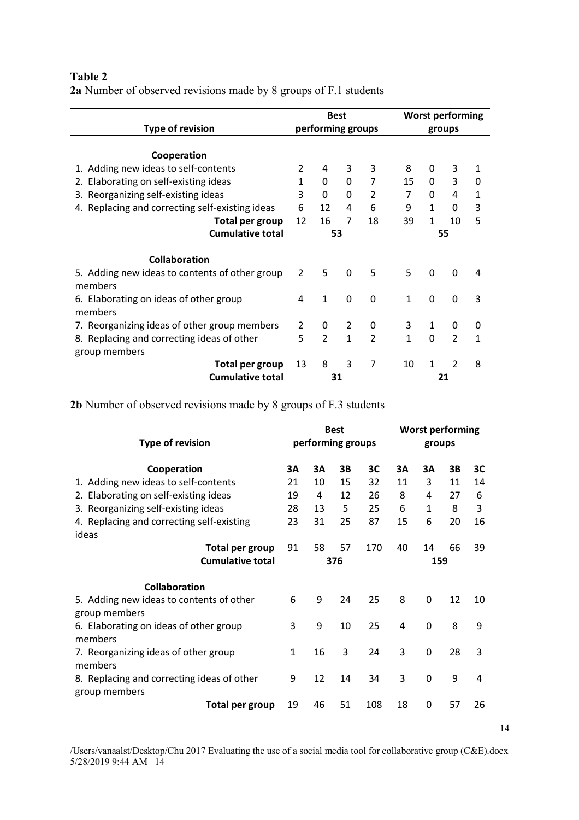# **Table 2**

**2a** Number of observed revisions made by 8 groups of F.1 students

|                                                 |               | <b>Best</b>       |              |                |              |              | <b>Worst performing</b> |              |
|-------------------------------------------------|---------------|-------------------|--------------|----------------|--------------|--------------|-------------------------|--------------|
| <b>Type of revision</b>                         |               | performing groups |              |                |              | groups       |                         |              |
|                                                 |               |                   |              |                |              |              |                         |              |
| Cooperation                                     |               |                   |              |                |              |              |                         |              |
| 1. Adding new ideas to self-contents            | 2             | 4                 | 3            | 3              | 8            | 0            | 3                       | $\mathbf{1}$ |
| 2. Elaborating on self-existing ideas           | $\mathbf{1}$  | 0                 | 0            | 7              | 15           | 0            | 3                       | 0            |
| 3. Reorganizing self-existing ideas             | 3             | 0                 | 0            | $\overline{2}$ | 7            | 0            | 4                       | $\mathbf{1}$ |
| 4. Replacing and correcting self-existing ideas | 6             | 12                | 4            | 6              | 9            | $\mathbf{1}$ | 0                       | 3            |
| Total per group                                 | 12            | 16                | 7            | 18             | 39           | $\mathbf{1}$ | 10                      | 5            |
| <b>Cumulative total</b>                         |               | 53                |              |                |              |              | 55                      |              |
|                                                 |               |                   |              |                |              |              |                         |              |
| <b>Collaboration</b>                            |               |                   |              |                |              |              |                         |              |
| 5. Adding new ideas to contents of other group  | $\mathcal{P}$ | 5                 | $\Omega$     | 5              | 5            | 0            | $\Omega$                | 4            |
| members                                         |               |                   |              |                |              |              |                         |              |
| 6. Elaborating on ideas of other group          | 4             | $\mathbf{1}$      | 0            | $\Omega$       | $\mathbf{1}$ | 0            | $\mathbf 0$             | 3            |
| members                                         |               |                   |              |                |              |              |                         |              |
| 7. Reorganizing ideas of other group members    | 2             | 0                 | 2            | 0              | 3            | $\mathbf{1}$ | 0                       | 0            |
| 8. Replacing and correcting ideas of other      | 5             | $\mathcal{P}$     | $\mathbf{1}$ | $\overline{2}$ | $\mathbf{1}$ | $\Omega$     | $\overline{2}$          | 1            |
| group members                                   |               |                   |              |                |              |              |                         |              |
| Total per group                                 | 13            | 8                 | 3            | 7              | 10           | $\mathbf{1}$ | $\overline{2}$          | 8            |
| <b>Cumulative total</b>                         |               | 31                |              |                |              |              | 21                      |              |

**2b** Number of observed revisions made by 8 groups of F.3 students

|                                                             |              |                   | <b>Best</b> |     |    | <b>Worst performing</b> |    |    |
|-------------------------------------------------------------|--------------|-------------------|-------------|-----|----|-------------------------|----|----|
| <b>Type of revision</b>                                     |              | performing groups |             |     |    | groups                  |    |    |
| Cooperation                                                 | 3A           | 3A                | 3B          | 3C  | 3A | 3A                      | 3B | 3C |
| 1. Adding new ideas to self-contents                        | 21           | 10                | 15          | 32  | 11 | 3                       | 11 | 14 |
| 2. Elaborating on self-existing ideas                       | 19           | 4                 | 12          | 26  | 8  | 4                       | 27 | 6  |
| 3. Reorganizing self-existing ideas                         | 28           | 13                | 5           | 25  | 6  | $\mathbf{1}$            | 8  | 3  |
| 4. Replacing and correcting self-existing                   | 23           | 31                | 25          | 87  | 15 | 6                       | 20 | 16 |
| ideas                                                       |              |                   |             |     |    |                         |    |    |
| Total per group                                             | 91           | 58                | 57          | 170 | 40 | 14                      | 66 | 39 |
| <b>Cumulative total</b>                                     |              |                   | 376         |     |    | 159                     |    |    |
|                                                             |              |                   |             |     |    |                         |    |    |
| <b>Collaboration</b>                                        |              |                   |             |     |    |                         |    |    |
| 5. Adding new ideas to contents of other<br>group members   | 6            | 9                 | 24          | 25  | 8  | 0                       | 12 | 10 |
| 6. Elaborating on ideas of other group<br>members           | 3            | 9                 | 10          | 25  | 4  | 0                       | 8  | 9  |
| 7. Reorganizing ideas of other group<br>members             | $\mathbf{1}$ | 16                | 3           | 24  | 3  | 0                       | 28 | 3  |
| 8. Replacing and correcting ideas of other<br>group members | 9            | 12                | 14          | 34  | 3  | 0                       | 9  | 4  |
| Total per group                                             | 19           | 46                | 51          | 108 | 18 | 0                       | 57 | 26 |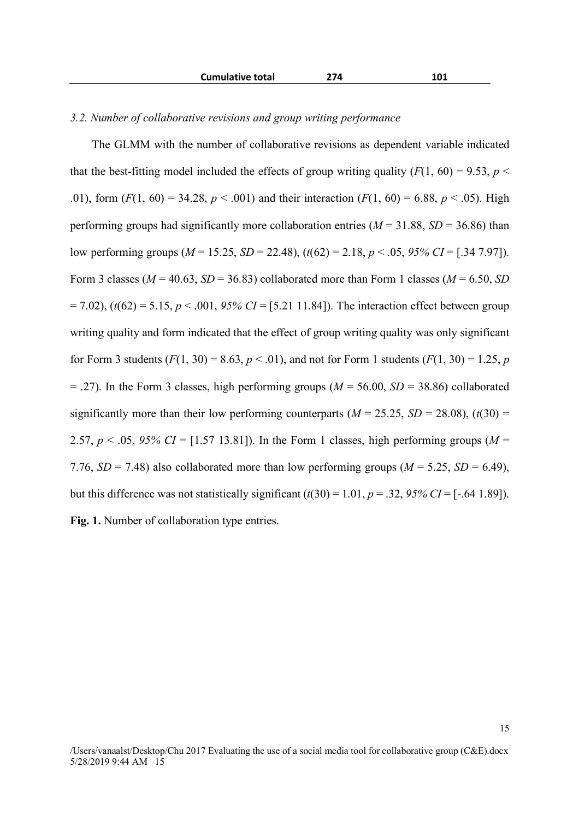|  | <b>Cumulative total</b> | 274 | 101 |
|--|-------------------------|-----|-----|
|--|-------------------------|-----|-----|

#### *3.2. Number of collaborative revisions and group writing performance*

The GLMM with the number of collaborative revisions as dependent variable indicated that the best-fitting model included the effects of group writing quality  $(F(1, 60) = 9.53, p <$ .01), form  $(F(1, 60) = 34.28, p < .001)$  and their interaction  $(F(1, 60) = 6.88, p < .05)$ . High performing groups had significantly more collaboration entries ( $M = 31.88$ ,  $SD = 36.86$ ) than low performing groups (*M* = 15.25, *SD* = 22.48), (*t*(62) = 2.18, *p* < .05, *95% CI* = [.34 7.97]). Form 3 classes ( $M = 40.63$ ,  $SD = 36.83$ ) collaborated more than Form 1 classes ( $M = 6.50$ ,  $SD$  $= 7.02$ ), ( $t(62) = 5.15$ ,  $p < .001$ , 95% CI = [5.21 11.84]). The interaction effect between group writing quality and form indicated that the effect of group writing quality was only significant for Form 3 students  $(F(1, 30) = 8.63, p < .01)$ , and not for Form 1 students  $(F(1, 30) = 1.25, p$  $= .27$ ). In the Form 3 classes, high performing groups ( $M = 56.00$ ,  $SD = 38.86$ ) collaborated significantly more than their low performing counterparts ( $M = 25.25$ ,  $SD = 28.08$ ), ( $t(30) =$ 2.57,  $p < .05$ , 95% CI = [1.57 13.81]). In the Form 1 classes, high performing groups ( $M =$ 7.76,  $SD = 7.48$ ) also collaborated more than low performing groups ( $M = 5.25$ ,  $SD = 6.49$ ), but this difference was not statistically significant  $(t(30) = 1.01, p = .32, 95\% \text{ CI} = [-.64, 1.89]$ . **Fig. 1.** Number of collaboration type entries.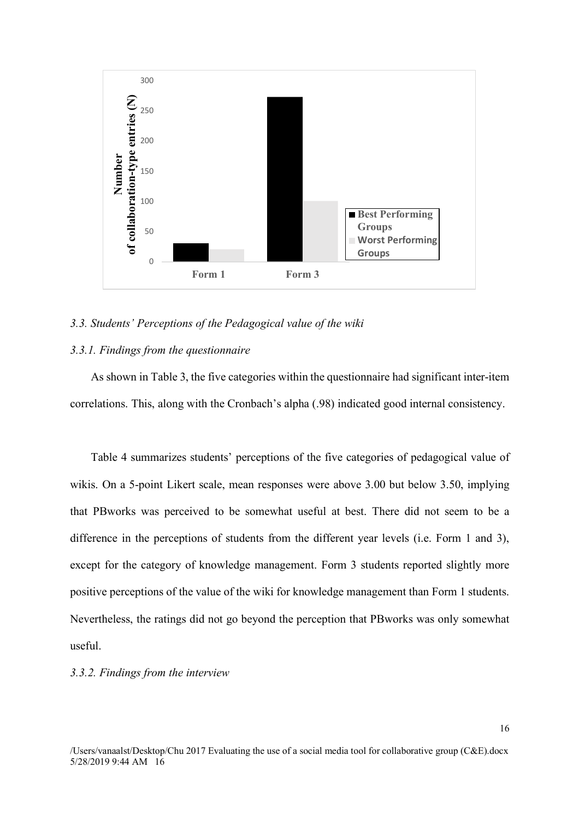

#### *3.3. Students' Perceptions of the Pedagogical value of the wiki*

## *3.3.1. Findings from the questionnaire*

As shown in Table 3, the five categories within the questionnaire had significant inter-item correlations. This, along with the Cronbach's alpha (.98) indicated good internal consistency.

Table 4 summarizes students' perceptions of the five categories of pedagogical value of wikis. On a 5-point Likert scale, mean responses were above 3.00 but below 3.50, implying that PBworks was perceived to be somewhat useful at best. There did not seem to be a difference in the perceptions of students from the different year levels (i.e. Form 1 and 3), except for the category of knowledge management. Form 3 students reported slightly more positive perceptions of the value of the wiki for knowledge management than Form 1 students. Nevertheless, the ratings did not go beyond the perception that PBworks was only somewhat useful.

#### *3.3.2. Findings from the interview*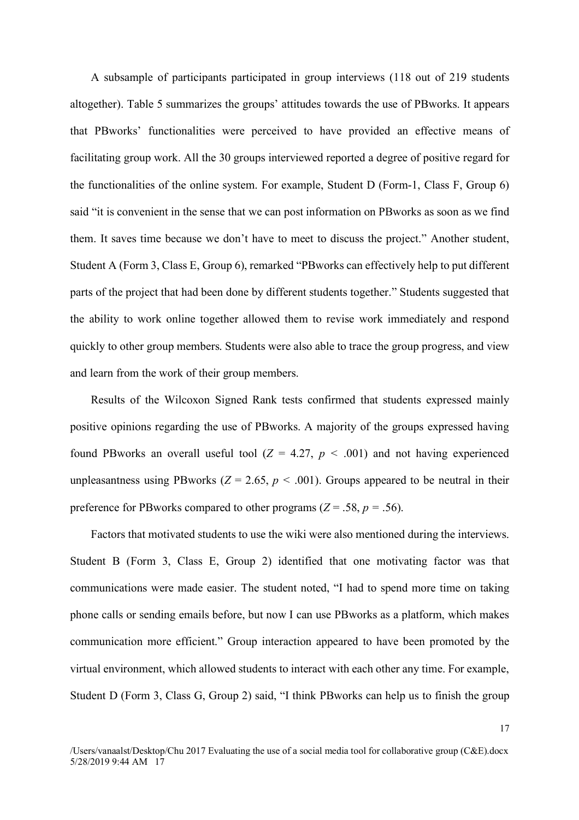A subsample of participants participated in group interviews (118 out of 219 students altogether). Table 5 summarizes the groups' attitudes towards the use of PBworks. It appears that PBworks' functionalities were perceived to have provided an effective means of facilitating group work. All the 30 groups interviewed reported a degree of positive regard for the functionalities of the online system. For example, Student D (Form-1, Class F, Group 6) said "it is convenient in the sense that we can post information on PBworks as soon as we find them. It saves time because we don't have to meet to discuss the project." Another student, Student A (Form 3, Class E, Group 6), remarked "PBworks can effectively help to put different parts of the project that had been done by different students together." Students suggested that the ability to work online together allowed them to revise work immediately and respond quickly to other group members. Students were also able to trace the group progress, and view and learn from the work of their group members.

Results of the Wilcoxon Signed Rank tests confirmed that students expressed mainly positive opinions regarding the use of PBworks. A majority of the groups expressed having found PBworks an overall useful tool  $(Z = 4.27, p < .001)$  and not having experienced unpleasantness using PBworks ( $Z = 2.65$ ,  $p < .001$ ). Groups appeared to be neutral in their preference for PBworks compared to other programs ( $Z = .58$ ,  $p = .56$ ).

Factors that motivated students to use the wiki were also mentioned during the interviews. Student B (Form 3, Class E, Group 2) identified that one motivating factor was that communications were made easier. The student noted, "I had to spend more time on taking phone calls or sending emails before, but now I can use PBworks as a platform, which makes communication more efficient." Group interaction appeared to have been promoted by the virtual environment, which allowed students to interact with each other any time. For example, Student D (Form 3, Class G, Group 2) said, "I think PBworks can help us to finish the group

<sup>/</sup>Users/vanaalst/Desktop/Chu 2017 Evaluating the use of a social media tool for collaborative group (C&E).docx 5/28/2019 9:44 AM 17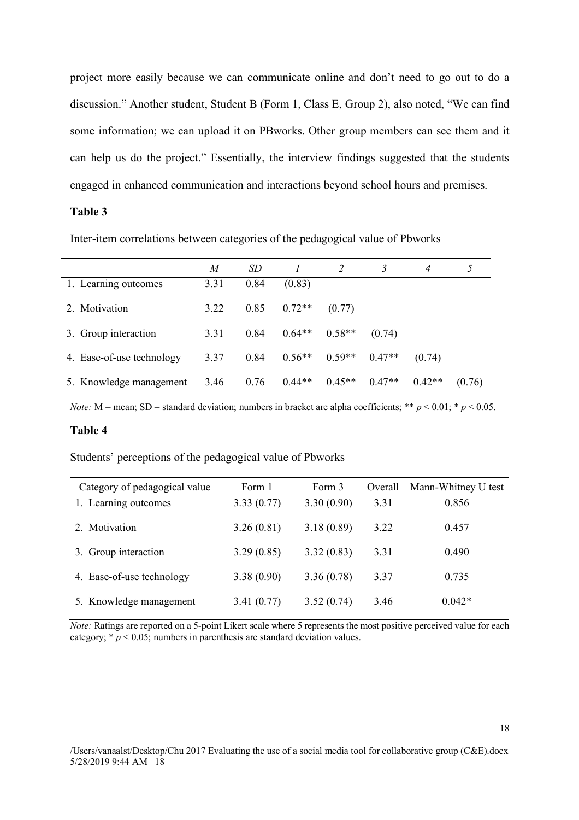project more easily because we can communicate online and don't need to go out to do a discussion." Another student, Student B (Form 1, Class E, Group 2), also noted, "We can find some information; we can upload it on PBworks. Other group members can see them and it can help us do the project." Essentially, the interview findings suggested that the students engaged in enhanced communication and interactions beyond school hours and premises.

# **Table 3**

Inter-item correlations between categories of the pedagogical value of Pbworks

|                           | M    | SD.  |          |          |          | $\overline{4}$ |        |
|---------------------------|------|------|----------|----------|----------|----------------|--------|
| 1. Learning outcomes      | 3.31 | 0.84 | (0.83)   |          |          |                |        |
| 2. Motivation             | 3.22 | 0.85 | $0.72**$ | (0.77)   |          |                |        |
| 3. Group interaction      | 3.31 | 0.84 | $0.64**$ | $0.58**$ | (0.74)   |                |        |
| 4. Ease-of-use technology | 3.37 | 0.84 | $0.56**$ | $0.59**$ | $0.47**$ | (0.74)         |        |
| 5. Knowledge management   | 3.46 | 0.76 | $0.44**$ | $0.45**$ | $0.47**$ | $0.42**$       | (0.76) |

*Note:* M = mean; SD = standard deviation; numbers in bracket are alpha coefficients; \*\*  $p < 0.01$ ; \*  $p < 0.05$ .

#### **Table 4**

Students' perceptions of the pedagogical value of Pbworks

| Category of pedagogical value | Form 1     | Form 3     | Overall | Mann-Whitney U test |
|-------------------------------|------------|------------|---------|---------------------|
| 1. Learning outcomes          | 3.33(0.77) | 3.30(0.90) | 3.31    | 0.856               |
| 2. Motivation                 | 3.26(0.81) | 3.18(0.89) | 3.22    | 0.457               |
| 3. Group interaction          | 3.29(0.85) | 3.32(0.83) | 3.31    | 0.490               |
| 4. Ease-of-use technology     | 3.38(0.90) | 3.36(0.78) | 3.37    | 0.735               |
| 5. Knowledge management       | 3.41(0.77) | 3.52(0.74) | 3.46    | $0.042*$            |

*Note:* Ratings are reported on a 5-point Likert scale where 5 represents the most positive perceived value for each category;  $* p < 0.05$ ; numbers in parenthesis are standard deviation values.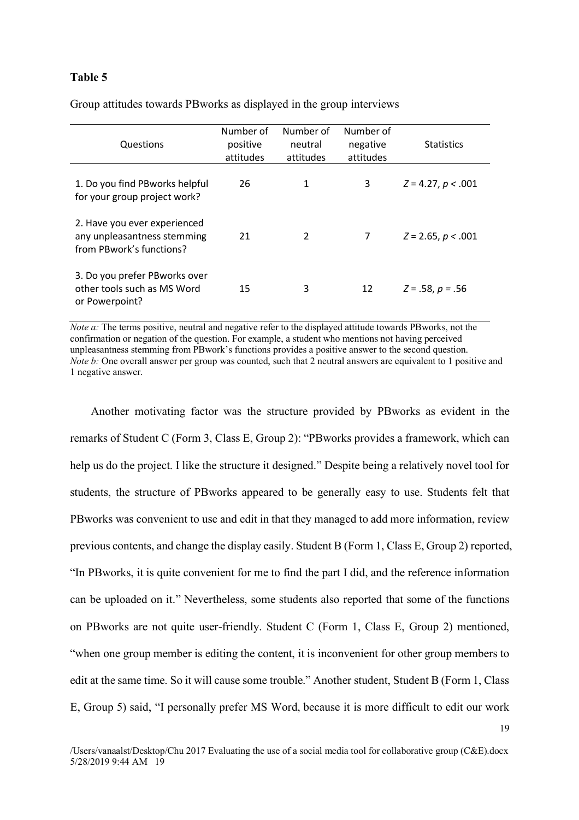## **Table 5**

| Questions                                                                               | Number of<br>positive<br>attitudes | Number of<br>neutral<br>attitudes | Number of<br>negative<br>attitudes | <b>Statistics</b>    |
|-----------------------------------------------------------------------------------------|------------------------------------|-----------------------------------|------------------------------------|----------------------|
| 1. Do you find PBworks helpful<br>for your group project work?                          | 26                                 | 1                                 | 3                                  | $Z = 4.27, p < .001$ |
| 2. Have you ever experienced<br>any unpleasantness stemming<br>from PBwork's functions? | 21                                 | 2                                 |                                    | $Z = 2.65, p < .001$ |
| 3. Do you prefer PBworks over<br>other tools such as MS Word<br>or Powerpoint?          | 15                                 | 3                                 | 12                                 | $Z = .58, p = .56$   |

Group attitudes towards PBworks as displayed in the group interviews

*Note a:* The terms positive, neutral and negative refer to the displayed attitude towards PBworks, not the confirmation or negation of the question. For example, a student who mentions not having perceived unpleasantness stemming from PBwork's functions provides a positive answer to the second question. *Note b:* One overall answer per group was counted, such that 2 neutral answers are equivalent to 1 positive and 1 negative answer.

Another motivating factor was the structure provided by PBworks as evident in the remarks of Student C (Form 3, Class E, Group 2): "PBworks provides a framework, which can help us do the project. I like the structure it designed." Despite being a relatively novel tool for students, the structure of PBworks appeared to be generally easy to use. Students felt that PBworks was convenient to use and edit in that they managed to add more information, review previous contents, and change the display easily. Student B (Form 1, Class E, Group 2) reported, "In PBworks, it is quite convenient for me to find the part I did, and the reference information can be uploaded on it." Nevertheless, some students also reported that some of the functions on PBworks are not quite user-friendly. Student C (Form 1, Class E, Group 2) mentioned, "when one group member is editing the content, it is inconvenient for other group members to edit at the same time. So it will cause some trouble." Another student, Student B (Form 1, Class E, Group 5) said, "I personally prefer MS Word, because it is more difficult to edit our work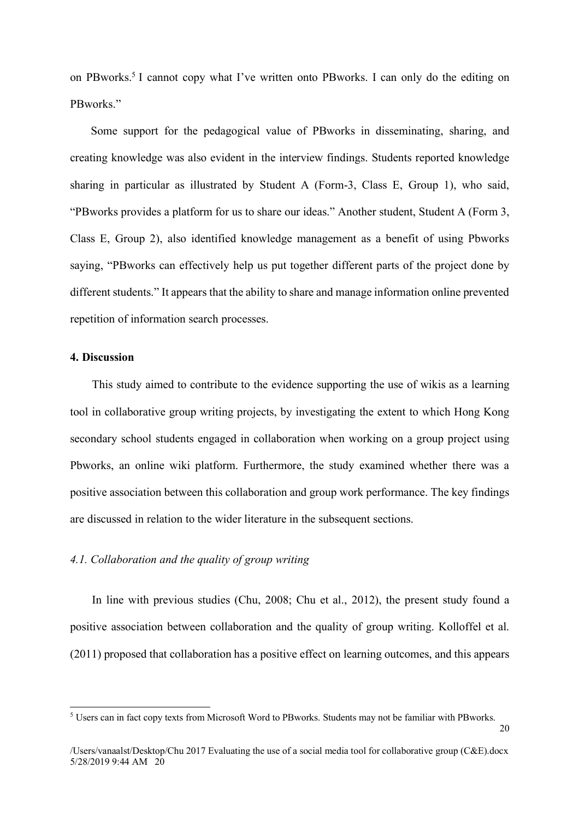on PBworks.5 I cannot copy what I've written onto PBworks. I can only do the editing on PBworks<sup>"</sup>

Some support for the pedagogical value of PBworks in disseminating, sharing, and creating knowledge was also evident in the interview findings. Students reported knowledge sharing in particular as illustrated by Student A (Form-3, Class E, Group 1), who said, "PBworks provides a platform for us to share our ideas." Another student, Student A (Form 3, Class E, Group 2), also identified knowledge management as a benefit of using Pbworks saying, "PBworks can effectively help us put together different parts of the project done by different students." It appears that the ability to share and manage information online prevented repetition of information search processes.

## **4. Discussion**

This study aimed to contribute to the evidence supporting the use of wikis as a learning tool in collaborative group writing projects, by investigating the extent to which Hong Kong secondary school students engaged in collaboration when working on a group project using Pbworks, an online wiki platform. Furthermore, the study examined whether there was a positive association between this collaboration and group work performance. The key findings are discussed in relation to the wider literature in the subsequent sections.

# *4.1. Collaboration and the quality of group writing*

In line with previous studies (Chu, 2008; Chu et al., 2012), the present study found a positive association between collaboration and the quality of group writing. Kolloffel et al. (2011) proposed that collaboration has a positive effect on learning outcomes, and this appears

 <sup>5</sup> Users can in fact copy texts from Microsoft Word to PBworks. Students may not be familiar with PBworks.

<sup>/</sup>Users/vanaalst/Desktop/Chu 2017 Evaluating the use of a social media tool for collaborative group (C&E).docx 5/28/2019 9:44 AM 20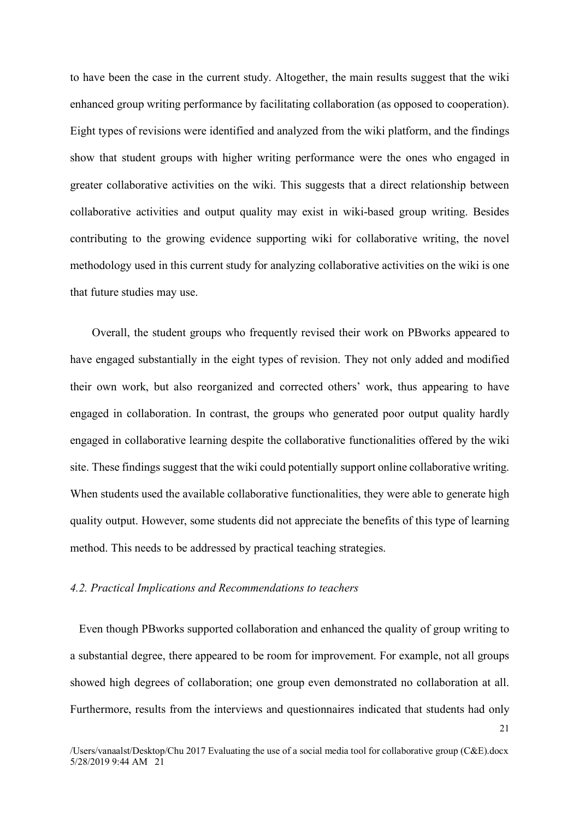to have been the case in the current study. Altogether, the main results suggest that the wiki enhanced group writing performance by facilitating collaboration (as opposed to cooperation). Eight types of revisions were identified and analyzed from the wiki platform, and the findings show that student groups with higher writing performance were the ones who engaged in greater collaborative activities on the wiki. This suggests that a direct relationship between collaborative activities and output quality may exist in wiki-based group writing. Besides contributing to the growing evidence supporting wiki for collaborative writing, the novel methodology used in this current study for analyzing collaborative activities on the wiki is one that future studies may use.

Overall, the student groups who frequently revised their work on PBworks appeared to have engaged substantially in the eight types of revision. They not only added and modified their own work, but also reorganized and corrected others' work, thus appearing to have engaged in collaboration. In contrast, the groups who generated poor output quality hardly engaged in collaborative learning despite the collaborative functionalities offered by the wiki site. These findings suggest that the wiki could potentially support online collaborative writing. When students used the available collaborative functionalities, they were able to generate high quality output. However, some students did not appreciate the benefits of this type of learning method. This needs to be addressed by practical teaching strategies.

### *4.2. Practical Implications and Recommendations to teachers*

Even though PBworks supported collaboration and enhanced the quality of group writing to a substantial degree, there appeared to be room for improvement. For example, not all groups showed high degrees of collaboration; one group even demonstrated no collaboration at all. Furthermore, results from the interviews and questionnaires indicated that students had only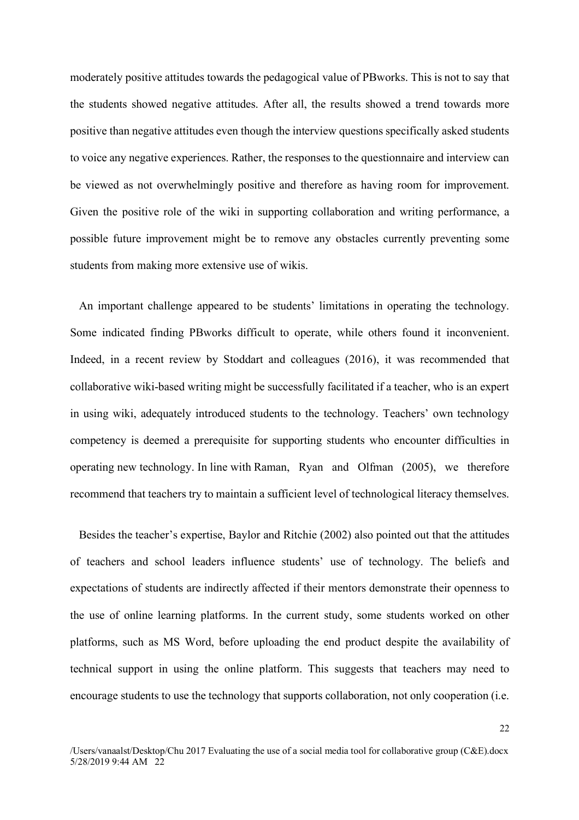moderately positive attitudes towards the pedagogical value of PBworks. This is not to say that the students showed negative attitudes. After all, the results showed a trend towards more positive than negative attitudes even though the interview questions specifically asked students to voice any negative experiences. Rather, the responses to the questionnaire and interview can be viewed as not overwhelmingly positive and therefore as having room for improvement. Given the positive role of the wiki in supporting collaboration and writing performance, a possible future improvement might be to remove any obstacles currently preventing some students from making more extensive use of wikis.

An important challenge appeared to be students' limitations in operating the technology. Some indicated finding PBworks difficult to operate, while others found it inconvenient. Indeed, in a recent review by Stoddart and colleagues (2016), it was recommended that collaborative wiki-based writing might be successfully facilitated if a teacher, who is an expert in using wiki, adequately introduced students to the technology. Teachers' own technology competency is deemed a prerequisite for supporting students who encounter difficulties in operating new technology. In line with Raman, Ryan and Olfman (2005), we therefore recommend that teachers try to maintain a sufficient level of technological literacy themselves.

Besides the teacher's expertise, Baylor and Ritchie (2002) also pointed out that the attitudes of teachers and school leaders influence students' use of technology. The beliefs and expectations of students are indirectly affected if their mentors demonstrate their openness to the use of online learning platforms. In the current study, some students worked on other platforms, such as MS Word, before uploading the end product despite the availability of technical support in using the online platform. This suggests that teachers may need to encourage students to use the technology that supports collaboration, not only cooperation (i.e.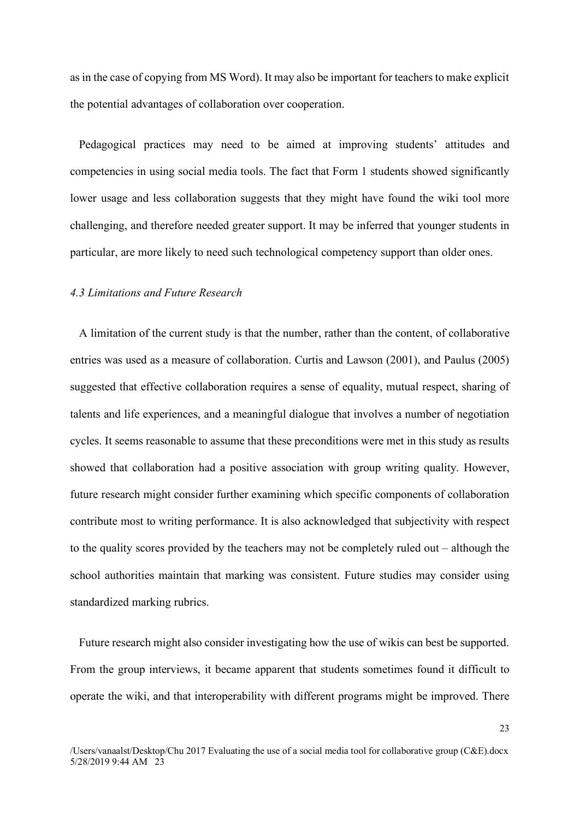as in the case of copying from MS Word). It may also be important for teachers to make explicit the potential advantages of collaboration over cooperation.

Pedagogical practices may need to be aimed at improving students' attitudes and competencies in using social media tools. The fact that Form 1 students showed significantly lower usage and less collaboration suggests that they might have found the wiki tool more challenging, and therefore needed greater support. It may be inferred that younger students in particular, are more likely to need such technological competency support than older ones.

# *4.3 Limitations and Future Research*

A limitation of the current study is that the number, rather than the content, of collaborative entries was used as a measure of collaboration. Curtis and Lawson (2001), and Paulus (2005) suggested that effective collaboration requires a sense of equality, mutual respect, sharing of talents and life experiences, and a meaningful dialogue that involves a number of negotiation cycles. It seems reasonable to assume that these preconditions were met in this study as results showed that collaboration had a positive association with group writing quality. However, future research might consider further examining which specific components of collaboration contribute most to writing performance. It is also acknowledged that subjectivity with respect to the quality scores provided by the teachers may not be completely ruled out – although the school authorities maintain that marking was consistent. Future studies may consider using standardized marking rubrics.

Future research might also consider investigating how the use of wikis can best be supported. From the group interviews, it became apparent that students sometimes found it difficult to operate the wiki, and that interoperability with different programs might be improved. There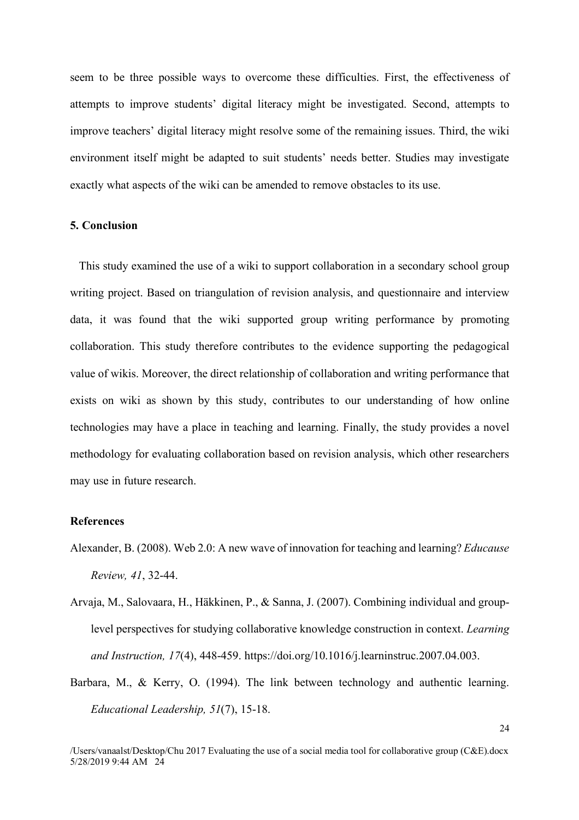seem to be three possible ways to overcome these difficulties. First, the effectiveness of attempts to improve students' digital literacy might be investigated. Second, attempts to improve teachers' digital literacy might resolve some of the remaining issues. Third, the wiki environment itself might be adapted to suit students' needs better. Studies may investigate exactly what aspects of the wiki can be amended to remove obstacles to its use.

# **5. Conclusion**

This study examined the use of a wiki to support collaboration in a secondary school group writing project. Based on triangulation of revision analysis, and questionnaire and interview data, it was found that the wiki supported group writing performance by promoting collaboration. This study therefore contributes to the evidence supporting the pedagogical value of wikis. Moreover, the direct relationship of collaboration and writing performance that exists on wiki as shown by this study, contributes to our understanding of how online technologies may have a place in teaching and learning. Finally, the study provides a novel methodology for evaluating collaboration based on revision analysis, which other researchers may use in future research.

### **References**

- Alexander, B. (2008). Web 2.0: A new wave of innovation for teaching and learning? *Educause Review, 41*, 32-44.
- Arvaja, M., Salovaara, H., Häkkinen, P., & Sanna, J. (2007). Combining individual and grouplevel perspectives for studying collaborative knowledge construction in context. *Learning and Instruction, 17*(4), 448-459. https://doi.org/10.1016/j.learninstruc.2007.04.003.
- Barbara, M., & Kerry, O. (1994). The link between technology and authentic learning. *Educational Leadership, 51*(7), 15-18.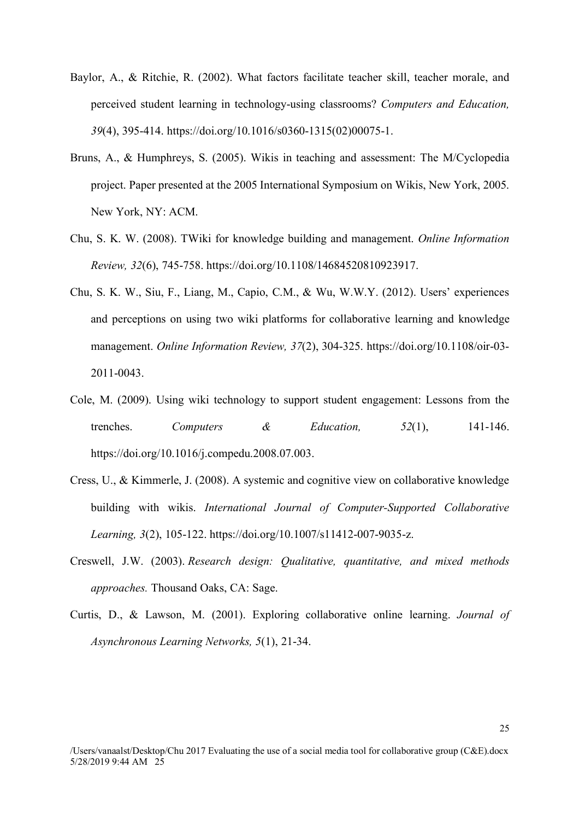- Baylor, A., & Ritchie, R. (2002). What factors facilitate teacher skill, teacher morale, and perceived student learning in technology-using classrooms? *Computers and Education, 39*(4), 395-414. https://doi.org/10.1016/s0360-1315(02)00075-1.
- Bruns, A., & Humphreys, S. (2005). Wikis in teaching and assessment: The M/Cyclopedia project. Paper presented at the 2005 International Symposium on Wikis, New York, 2005. New York, NY: ACM.
- Chu, S. K. W. (2008). TWiki for knowledge building and management. *Online Information Review, 32*(6), 745-758. https://doi.org/10.1108/14684520810923917.
- Chu, S. K. W., Siu, F., Liang, M., Capio, C.M., & Wu, W.W.Y. (2012). Users' experiences and perceptions on using two wiki platforms for collaborative learning and knowledge management. *Online Information Review, 37*(2), 304-325. https://doi.org/10.1108/oir-03- 2011-0043.
- Cole, M. (2009). Using wiki technology to support student engagement: Lessons from the trenches. *Computers & Education, 52*(1), 141-146. https://doi.org/10.1016/j.compedu.2008.07.003.
- Cress, U., & Kimmerle, J. (2008). A systemic and cognitive view on collaborative knowledge building with wikis. *International Journal of Computer-Supported Collaborative Learning, 3*(2), 105-122. https://doi.org/10.1007/s11412-007-9035-z.
- Creswell, J.W. (2003). *Research design: Qualitative, quantitative, and mixed methods approaches.* Thousand Oaks, CA: Sage.
- Curtis, D., & Lawson, M. (2001). Exploring collaborative online learning. *Journal of Asynchronous Learning Networks, 5*(1), 21-34.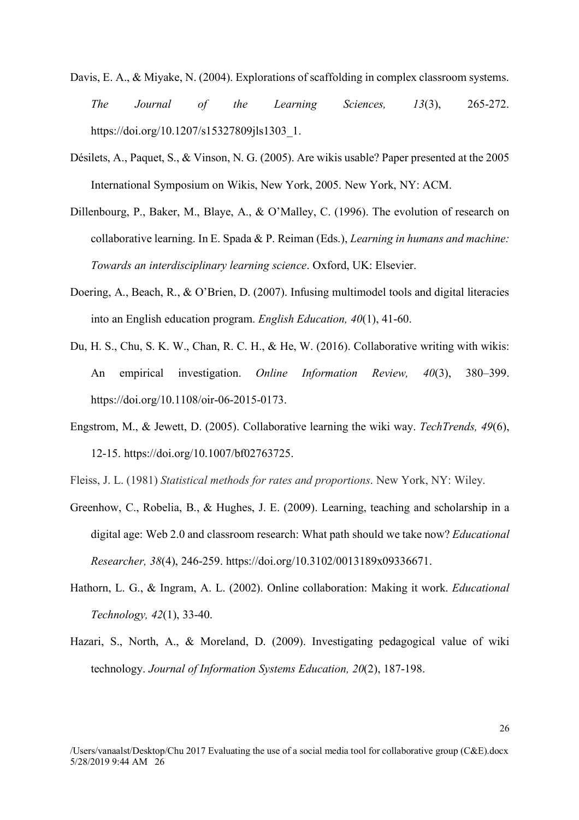- Davis, E. A., & Miyake, N. (2004). Explorations of scaffolding in complex classroom systems. *The Journal of the Learning Sciences, 13*(3), 265-272. https://doi.org/10.1207/s15327809jls1303\_1.
- Désilets, A., Paquet, S., & Vinson, N. G. (2005). Are wikis usable? Paper presented at the 2005 International Symposium on Wikis, New York, 2005. New York, NY: ACM.
- Dillenbourg, P., Baker, M., Blaye, A., & O'Malley, C. (1996). The evolution of research on collaborative learning. In E. Spada & P. Reiman (Eds.), *Learning in humans and machine: Towards an interdisciplinary learning science*. Oxford, UK: Elsevier.
- Doering, A., Beach, R., & O'Brien, D. (2007). Infusing multimodel tools and digital literacies into an English education program. *English Education, 40*(1), 41-60.
- Du, H. S., Chu, S. K. W., Chan, R. C. H., & He, W. (2016). Collaborative writing with wikis: An empirical investigation. *Online Information Review, 40*(3), 380–399. https://doi.org/10.1108/oir-06-2015-0173.
- Engstrom, M., & Jewett, D. (2005). Collaborative learning the wiki way. *TechTrends, 49*(6), 12-15. https://doi.org/10.1007/bf02763725.

Fleiss, J. L. (1981) *Statistical methods for rates and proportions*. New York, NY: Wiley.

- Greenhow, C., Robelia, B., & Hughes, J. E. (2009). Learning, teaching and scholarship in a digital age: Web 2.0 and classroom research: What path should we take now? *Educational Researcher, 38*(4), 246-259. https://doi.org/10.3102/0013189x09336671.
- Hathorn, L. G., & Ingram, A. L. (2002). Online collaboration: Making it work. *Educational Technology, 42*(1), 33-40.
- Hazari, S., North, A., & Moreland, D. (2009). Investigating pedagogical value of wiki technology. *Journal of Information Systems Education, 20*(2), 187-198.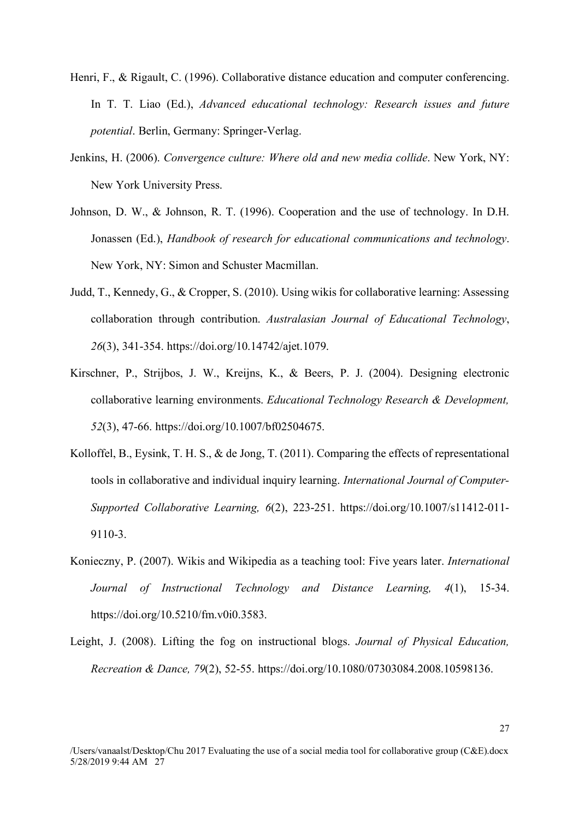- Henri, F., & Rigault, C. (1996). Collaborative distance education and computer conferencing. In T. T. Liao (Ed.), *Advanced educational technology: Research issues and future potential*. Berlin, Germany: Springer-Verlag.
- Jenkins, H. (2006). *Convergence culture: Where old and new media collide*. New York, NY: New York University Press.
- Johnson, D. W., & Johnson, R. T. (1996). Cooperation and the use of technology. In D.H. Jonassen (Ed.), *Handbook of research for educational communications and technology*. New York, NY: Simon and Schuster Macmillan.
- Judd, T., Kennedy, G., & Cropper, S. (2010). Using wikis for collaborative learning: Assessing collaboration through contribution. *Australasian Journal of Educational Technology*, *26*(3), 341-354. https://doi.org/10.14742/ajet.1079.
- Kirschner, P., Strijbos, J. W., Kreijns, K., & Beers, P. J. (2004). Designing electronic collaborative learning environments. *Educational Technology Research & Development, 52*(3), 47-66. https://doi.org/10.1007/bf02504675.
- Kolloffel, B., Eysink, T. H. S., & de Jong, T. (2011). Comparing the effects of representational tools in collaborative and individual inquiry learning. *International Journal of Computer-Supported Collaborative Learning, 6*(2), 223-251. https://doi.org/10.1007/s11412-011- 9110-3.
- Konieczny, P. (2007). Wikis and Wikipedia as a teaching tool: Five years later. *International Journal of Instructional Technology and Distance Learning, 4*(1), 15-34. https://doi.org/10.5210/fm.v0i0.3583.
- Leight, J. (2008). Lifting the fog on instructional blogs. *Journal of Physical Education, Recreation & Dance, 79*(2), 52-55. https://doi.org/10.1080/07303084.2008.10598136.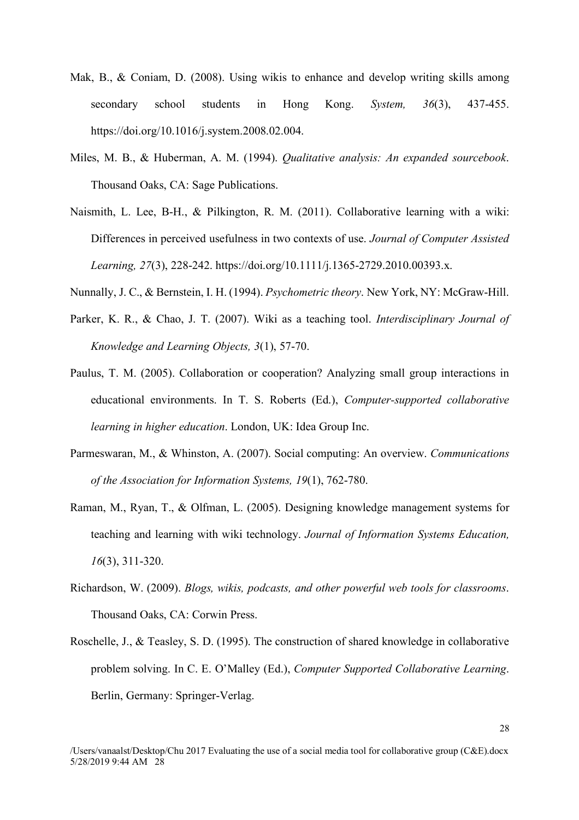- Mak, B., & Coniam, D. (2008). Using wikis to enhance and develop writing skills among secondary school students in Hong Kong. *System, 36*(3), 437-455. https://doi.org/10.1016/j.system.2008.02.004.
- Miles, M. B., & Huberman, A. M. (1994). *Qualitative analysis: An expanded sourcebook*. Thousand Oaks, CA: Sage Publications.
- Naismith, L. Lee, B-H., & Pilkington, R. M. (2011). Collaborative learning with a wiki: Differences in perceived usefulness in two contexts of use. *Journal of Computer Assisted Learning, 27*(3), 228-242. https://doi.org/10.1111/j.1365-2729.2010.00393.x.

Nunnally, J. C., & Bernstein, I. H. (1994). *Psychometric theory*. New York, NY: McGraw-Hill.

- Parker, K. R., & Chao, J. T. (2007). Wiki as a teaching tool. *Interdisciplinary Journal of Knowledge and Learning Objects, 3*(1), 57-70.
- Paulus, T. M. (2005). Collaboration or cooperation? Analyzing small group interactions in educational environments. In T. S. Roberts (Ed.), *Computer-supported collaborative learning in higher education*. London, UK: Idea Group Inc.
- Parmeswaran, M., & Whinston, A. (2007). Social computing: An overview. *Communications of the Association for Information Systems, 19*(1), 762-780.
- Raman, M., Ryan, T., & Olfman, L. (2005). Designing knowledge management systems for teaching and learning with wiki technology. *Journal of Information Systems Education, 16*(3), 311-320.
- Richardson, W. (2009). *Blogs, wikis, podcasts, and other powerful web tools for classrooms*. Thousand Oaks, CA: Corwin Press.
- Roschelle, J., & Teasley, S. D. (1995). The construction of shared knowledge in collaborative problem solving. In C. E. O'Malley (Ed.), *Computer Supported Collaborative Learning*. Berlin, Germany: Springer-Verlag.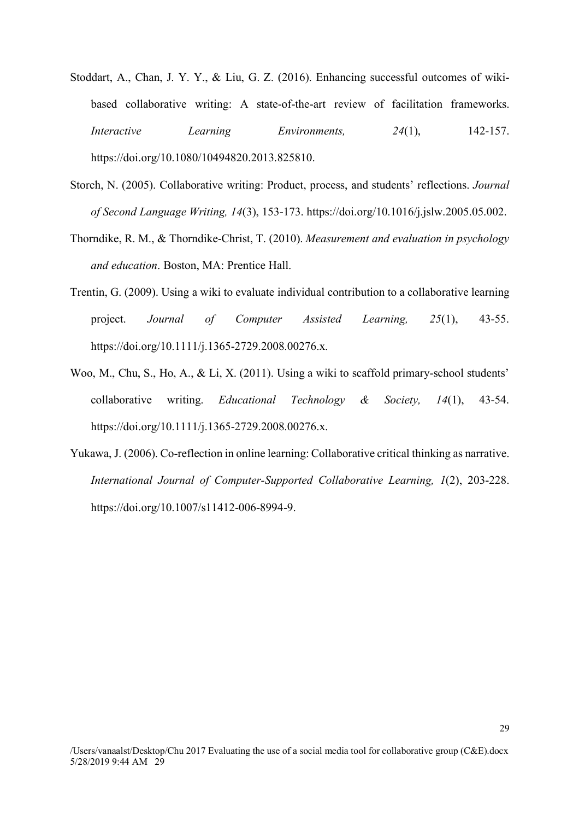- Stoddart, A., Chan, J. Y. Y., & Liu, G. Z. (2016). Enhancing successful outcomes of wikibased collaborative writing: A state-of-the-art review of facilitation frameworks. *Interactive Learning Environments, 24*(1), 142-157. https://doi.org/10.1080/10494820.2013.825810.
- Storch, N. (2005). Collaborative writing: Product, process, and students' reflections. *Journal of Second Language Writing, 14*(3), 153-173. https://doi.org/10.1016/j.jslw.2005.05.002.
- Thorndike, R. M., & Thorndike-Christ, T. (2010). *Measurement and evaluation in psychology and education*. Boston, MA: Prentice Hall.
- Trentin, G. (2009). Using a wiki to evaluate individual contribution to a collaborative learning project. *Journal of Computer Assisted Learning, 25*(1), 43-55. https://doi.org/10.1111/j.1365-2729.2008.00276.x.
- Woo, M., Chu, S., Ho, A., & Li, X. (2011). Using a wiki to scaffold primary-school students' collaborative writing. *Educational Technology & Society, 14*(1), 43-54. https://doi.org/10.1111/j.1365-2729.2008.00276.x.
- Yukawa, J. (2006). Co-reflection in online learning: Collaborative critical thinking as narrative. *International Journal of Computer-Supported Collaborative Learning, 1*(2), 203-228. https://doi.org/10.1007/s11412-006-8994-9.